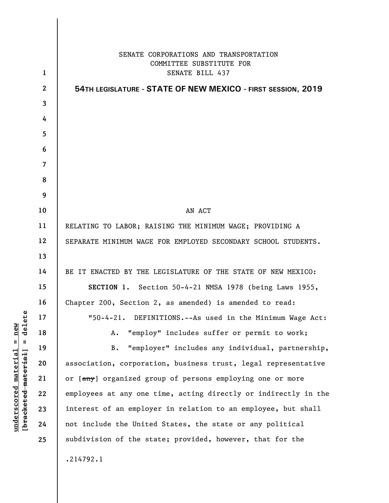|                | SENATE CORPORATIONS AND TRANSPORTATION<br>COMMITTEE SUBSTITUTE FOR |
|----------------|--------------------------------------------------------------------|
| $\mathbf{1}$   | SENATE BILL 437                                                    |
| $\mathbf{2}$   | 54TH LEGISLATURE - STATE OF NEW MEXICO - FIRST SESSION, 2019       |
| 3              |                                                                    |
| 4              |                                                                    |
| 5              |                                                                    |
| 6              |                                                                    |
| $\overline{7}$ |                                                                    |
| 8              |                                                                    |
| 9              |                                                                    |
| 10             | AN ACT                                                             |
| 11             | RELATING TO LABOR; RAISING THE MINIMUM WAGE; PROVIDING A           |
| 12             | SEPARATE MINIMUM WAGE FOR EMPLOYED SECONDARY SCHOOL STUDENTS.      |
| 13             |                                                                    |
| 14             | BE IT ENACTED BY THE LEGISLATURE OF THE STATE OF NEW MEXICO:       |
| 15             | SECTION 1. Section 50-4-21 NMSA 1978 (being Laws 1955,             |
| 16             | Chapter 200, Section 2, as amended) is amended to read:            |
| 17             | "50-4-21. DEFINITIONS.--As used in the Minimum Wage Act:           |
| 18             | "employ" includes suffer or permit to work;<br>Α.                  |
| 19             | "employer" includes any individual, partnership,<br>B.             |
| 20             | association, corporation, business trust, legal representative     |
| 21             | or [any] organized group of persons employing one or more          |
| 22             | employees at any one time, acting directly or indirectly in the    |
| 23             | interest of an employer in relation to an employee, but shall      |
| 24             | not include the United States, the state or any political          |
| 25             | subdivision of the state; provided, however, that for the          |
|                | .214792.1                                                          |

**underscored material = new [bracketed material] = delete**

 $[**bracket eted metert et**] = **del et e**$  $underscored material = new$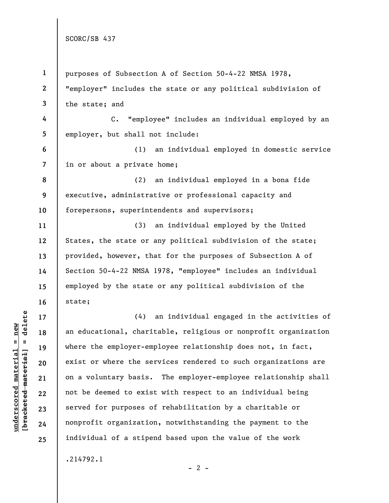| $\mathbf{1}$   | purposes of Subsection A of Section 50-4-22 NMSA 1978,             |
|----------------|--------------------------------------------------------------------|
| $\mathbf{2}$   | "employer" includes the state or any political subdivision of      |
| $\mathbf{3}$   | the state; and                                                     |
| 4              | "employee" includes an individual employed by an<br>$\mathsf{C}$ . |
| 5 <sub>5</sub> | employer, but shall not include:                                   |
| 6              | an individual employed in domestic service<br>(1)                  |
| $\overline{7}$ | in or about a private home;                                        |
| 8              | (2)<br>an individual employed in a bona fide                       |
| 9              | executive, administrative or professional capacity and             |
| 10             | forepersons, superintendents and supervisors;                      |
| 11             | an individual employed by the United<br>(3)                        |
| 12             | States, the state or any political subdivision of the state;       |
| 13             | provided, however, that for the purposes of Subsection A of        |
| 14             | Section 50-4-22 NMSA 1978, "employee" includes an individual       |
| 15             | employed by the state or any political subdivision of the          |
| 16             | state;                                                             |
| 17             | (4)<br>an individual engaged in the activities of                  |
| 18             | an educational, charitable, religious or nonprofit organization    |
| 19             | where the employer-employee relationship does not, in fact,        |
| 20             | exist or where the services rendered to such organizations are     |
| 21             | on a voluntary basis. The employer-employee relationship shall     |
| 22             | not be deemed to exist with respect to an individual being         |
| 23             | served for purposes of rehabilitation by a charitable or           |
| 24             | nonprofit organization, notwithstanding the payment to the         |
| 25             | individual of a stipend based upon the value of the work           |
|                | .214792.1                                                          |

 $[bracketeed-materiat] = delete$ **[bracketed material] = delete**  $underscored material = new$ **underscored material = new**

 $- 2 -$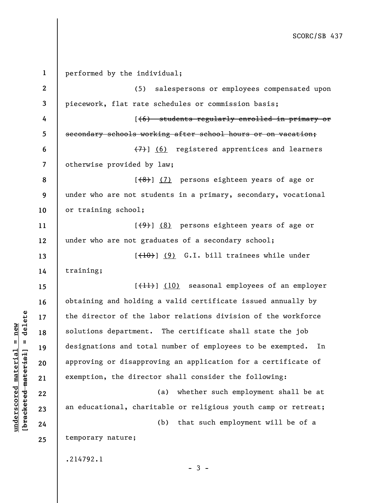**1 2 3 4 5 6 7 8 9 10 11 12 13 14 15 16 17 18 19 20 21 22 23 24 25**  performed by the individual; (5) salespersons or employees compensated upon piecework, flat rate schedules or commission basis; [(6) students regularly enrolled in primary or secondary schools working after school hours or on vacation; (7)] (6) registered apprentices and learners otherwise provided by law;  $[$ (8)]  $(7)$  persons eighteen years of age or under who are not students in a primary, secondary, vocational or training school;  $[\frac{49}{1}]$  (8) persons eighteen years of age or under who are not graduates of a secondary school;  $[+10]$  (9) G.I. bill trainees while under training; [<del>(11)</del>] (10) seasonal employees of an employer obtaining and holding a valid certificate issued annually by the director of the labor relations division of the workforce solutions department. The certificate shall state the job designations and total number of employees to be exempted. In approving or disapproving an application for a certificate of exemption, the director shall consider the following: (a) whether such employment shall be at an educational, charitable or religious youth camp or retreat; (b) that such employment will be of a temporary nature; .214792.1  $-3 -$ 

**underscored material = new [bracketed material] = delete**

 $b$ racketed material] = delete  $underscored material = new$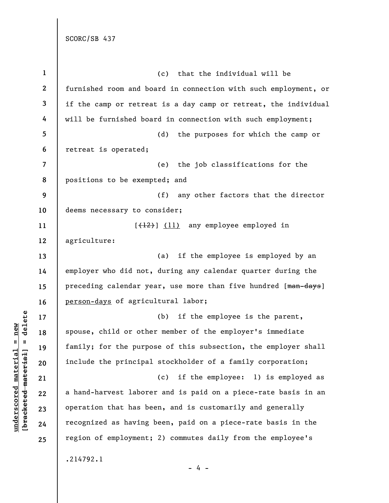| $\mathbf{1}$            | (c) that the individual will be                                 |
|-------------------------|-----------------------------------------------------------------|
| $\boldsymbol{2}$        | furnished room and board in connection with such employment, or |
| 3                       | if the camp or retreat is a day camp or retreat, the individual |
| 4                       | will be furnished board in connection with such employment;     |
| 5                       | (d)<br>the purposes for which the camp or                       |
| 6                       | retreat is operated;                                            |
| $\overline{\mathbf{z}}$ | the job classifications for the<br>(e)                          |
| 8                       | positions to be exempted; and                                   |
| 9                       | (f) any other factors that the director                         |
| 10                      | deems necessary to consider;                                    |
| 11                      | $[\frac{12}{12}]$ (11) any employee employed in                 |
| 12                      | agriculture:                                                    |
| 13                      | if the employee is employed by an<br>(a)                        |
| 14                      | employer who did not, during any calendar quarter during the    |
| 15                      | preceding calendar year, use more than five hundred [man-days]  |
| 16                      | person-days of agricultural labor;                              |
| 17                      | (b)<br>if the employee is the parent,                           |
| 18                      | spouse, child or other member of the employer's immediate       |
| 19                      | family; for the purpose of this subsection, the employer shall  |
| 20                      | include the principal stockholder of a family corporation;      |
| 21                      | (c)<br>if the employee: 1) is employed as                       |
| 22                      | a hand-harvest laborer and is paid on a piece-rate basis in an  |
| 23                      | operation that has been, and is customarily and generally       |
| 24                      | recognized as having been, paid on a piece-rate basis in the    |
| 25                      | region of employment; 2) commutes daily from the employee's     |
|                         | .214792.1<br>- 4 -                                              |

 $[bracketeed-materiat] = delete$ **[bracketed material] = delete**  $underscored material = new$ **underscored material = new**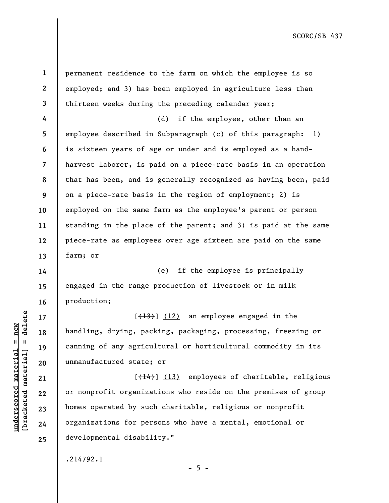**1 2 3 4 5 6 7 8 9 10 11 12 13 14 15 16 17 18 19 20 21 22 23 24**  permanent residence to the farm on which the employee is so employed; and 3) has been employed in agriculture less than thirteen weeks during the preceding calendar year; (d) if the employee, other than an employee described in Subparagraph (c) of this paragraph: 1) is sixteen years of age or under and is employed as a handharvest laborer, is paid on a piece-rate basis in an operation that has been, and is generally recognized as having been, paid on a piece-rate basis in the region of employment; 2) is employed on the same farm as the employee's parent or person standing in the place of the parent; and 3) is paid at the same piece-rate as employees over age sixteen are paid on the same farm; or (e) if the employee is principally engaged in the range production of livestock or in milk production;  $[\frac{13}{13}]$  (12) an employee engaged in the handling, drying, packing, packaging, processing, freezing or canning of any agricultural or horticultural commodity in its unmanufactured state; or [(14)] (13) employees of charitable, religious or nonprofit organizations who reside on the premises of group homes operated by such charitable, religious or nonprofit organizations for persons who have a mental, emotional or

 $- 5 -$ 

.214792.1

developmental disability."

 $\frac{1}{2}$  intereted material = delete **[bracketed material] = delete**  $underscored material = new$ **underscored material = new**

**25**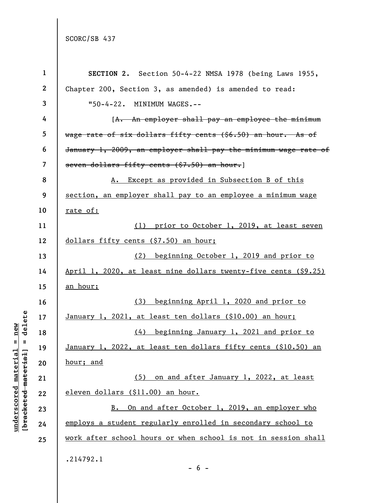**underscored material = new [bracketed material] = delete**

 $[bracketeed-materiat] = delete$  $underscored material = new$ 

| $\mathbf{1}$   | SECTION 2. Section 50-4-22 NMSA 1978 (being Laws 1955,           |
|----------------|------------------------------------------------------------------|
| $\mathbf{2}$   | Chapter 200, Section 3, as amended) is amended to read:          |
| 3              | "50-4-22. MINIMUM WAGES.--                                       |
| 4              | [A. An employer shall pay an employee the minimum                |
| 5              | wage rate of six dollars fifty cents $($ $66.50)$ an hour. As of |
| 6              | January 1, 2009, an employer shall pay the minimum wage rate of  |
| $\overline{7}$ | seven dollars fifty cents (\$7.50) an hour.]                     |
| 8              | A. Except as provided in Subsection B of this                    |
| 9              | section, an employer shall pay to an employee a minimum wage     |
| 10             | rate of:                                                         |
| 11             | (1) prior to October 1, 2019, at least seven                     |
| 12             | dollars fifty cents (\$7.50) an hour;                            |
| 13             | beginning October 1, 2019 and prior to<br>(2)                    |
| 14             | April 1, 2020, at least nine dollars twenty-five cents (\$9.25)  |
| 15             | <u>an hour;</u>                                                  |
| 16             | (3) beginning April 1, 2020 and prior to                         |
| 17             |                                                                  |
|                | January 1, 2021, at least ten dollars (\$10.00) an hour;         |
| 18             | (4) beginning January 1, 2021 and prior to                       |
| 19             | January 1, 2022, at least ten dollars fifty cents (\$10.50) an   |
| 20             | hour; and                                                        |
| 21             | (5) on and after January 1, 2022, at least                       |
| 22             | eleven dollars (\$11.00) an hour.                                |
| 23             | B. On and after October 1, 2019, an employer who                 |
| 24             | employs a student regularly enrolled in secondary school to      |
| 25             | work after school hours or when school is not in session shall   |

 $- 6 -$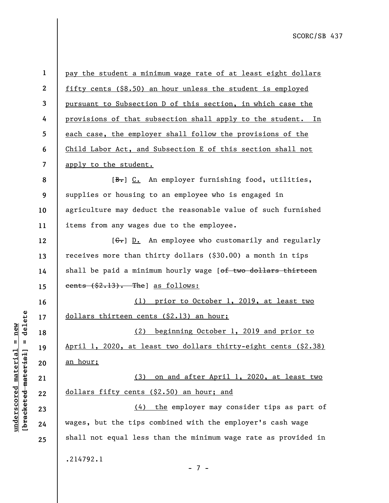**1 2 3 4 5 6 7 8 9 10 11 12 13 14 15 16 17 18 19 20 21 22 23 24 25**  pay the student a minimum wage rate of at least eight dollars fifty cents (\$8.50) an hour unless the student is employed pursuant to Subsection D of this section, in which case the provisions of that subsection shall apply to the student. In each case, the employer shall follow the provisions of the Child Labor Act, and Subsection E of this section shall not apply to the student. [B.] C. An employer furnishing food, utilities, supplies or housing to an employee who is engaged in agriculture may deduct the reasonable value of such furnished items from any wages due to the employee.  $[G<sub>r</sub>]$  D. An employee who customarily and regularly receives more than thirty dollars (\$30.00) a month in tips shall be paid a minimum hourly wage [of two dollars thirteen cents (\$2.13). The] as follows: (1) prior to October 1, 2019, at least two dollars thirteen cents (\$2.13) an hour; (2) beginning October 1, 2019 and prior to April 1, 2020, at least two dollars thirty-eight cents (\$2.38) an hour; (3) on and after April 1, 2020, at least two dollars fifty cents (\$2.50) an hour; and (4) the employer may consider tips as part of wages, but the tips combined with the employer's cash wage shall not equal less than the minimum wage rate as provided in .214792.1

- 7 -